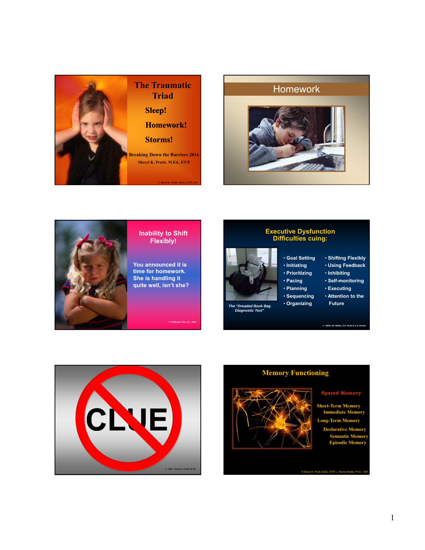

## Homework





#### **Inability to Shift Flexibly!**

**You announced it is time for homework. She is handling it quite well, isn't she?**

*© Challengin Kids, Inc., 2008*

# **Executive Dysfunction Difficulties cuing:**

- **Goal Setting**  • **Initiating**
- **Prioritizing**
- **Pacing**
- **Planning**
- **Sequencing** • **Organizing**
- **Future** *The "Dreaded Book Bag Diagnostic Test"*
- **Shifting Flexibly**
	- **Using Feedback**
	- **Inhibiting**
- **Self-monitoring**
- **Executing**
- **Attention to the**

*© 1999 L.W. Walter, S.K. Pruitt & L.E. Packer* 





**Spared Memory**

- **Short-Term Memory Immediate Mem**
- **Long-Term Memory Declarative Memory nantic Mem**
- **Episodic Memory**

© Sheryl K. Pruitt, M.Ed., ET/P, L. Warren Walter, Ph.D., 1997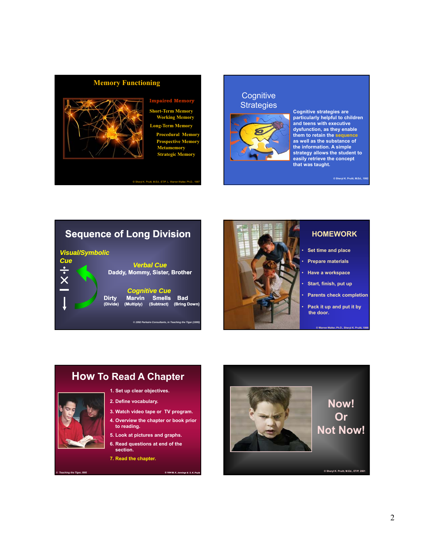# **Memory Functioning**



#### **Impaired Me**

**Short-Term Memory Working Memory Long-Term Memory Procedural Memory Prospective Memory Metamemory Strategic Memory**

## **Cognitive Strategies**



**Cognitive strategies are particularly helpful to children and teens with executive dysfunction, as they enable them to retain the sequence as well as the substance of the information. A simple strategy allows the student to easily retrieve the concept that was taught.**

**© Sheryl K. Pruitt, M.Ed., 1992**

# **Sequence of Long Division**





#### **HOMEWORK**

- **Set time and place**
- **Prepare materials**
- **Have a workspace**
- **Start, finish, put up**
- **Parents check completion**
- **Pack it up and put it by the door.**

**© Warren Walter, Ph.D., Sheryl K. Pruitt, 1999**

## **1. Set up clear objectives. 2. Define vocabulary. 3. Watch video tape or TV program. 4. Overview the chapter or book prior to reading. How To Read A Chapter**

**5. Look at pictures and graphs.** 

*© Teaching the Tiger, l995*

- **6. Read questions at end of the section.**
- **7. Read the chapter.**

© 1994 M. K. Jer

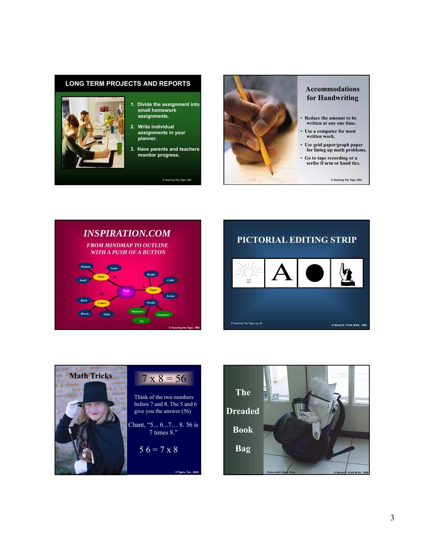#### **LONG TERM PROJECTS AND REPORTS**



#### **1. Divide the assignment into small homework assignments.**

- **2. Write individual assignments in your planner.**
- **3. Have parents and teachers monitor progress.**

© Teaching The Tiger, l995



#### **Accommodations for Handwriting**

- **Reduce the amount to be written at any one time.**
- Use a computer for most **written work.**
- **Use grid paper/graph paper for lining up math problems.**
- **Go to tape recording or a scribe if arm or hand tics.**

**© Teaching The Tiger, l995**







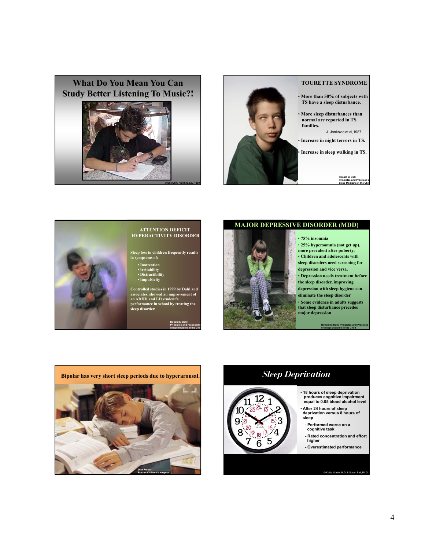





#### **ATTENTION DEFICIT HYPERACTIVITY DISORDER**

**Sleep loss in children frequently results in symptoms of:**

**Controlled studies in 1999 by Dahl and associates, showed an improvement of an ADHD and LD student's performance in school by treating the sleep disorder.** 

> **Ronald E. Dahl Principles and Practiced of Sleep Medicine in the Child**





• **75% insomnia** 

• **25% hypersomnia (not get up), more prevalent after puberty.** • **Children and adolescents with sleep disorders need screening for depression and vice versa.** • **Depression needs treatment before the sleep disorder, improving depression with sleep hygiene can eliminate the sleep disorder**  • **Some evidence in adults suggests that sleep disturbance precedes major depression**

**Ronald El Dahl, Principles and Practiced of Sleep Medicine in the Child**



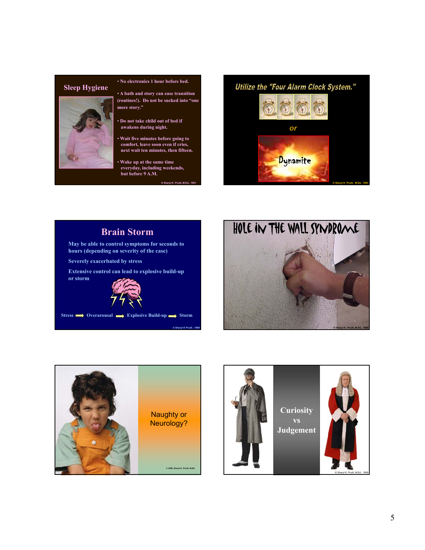#### **Sleep Hygiene**



#### • **No electronics 1 hour before bed.**

- **A bath and story can ease transition (routines!). Do not be sucked into "one more story."**
- **Do not take child out of bed if awakens during night.**
- **Wait five minutes before going to comfort, leave soon even if cries, next wait ten minutes, then fifteen.**
- **Wake up at the same time everyday, including weekends, but before 9 A.M.**

**© Sheryl K. Pruitt, M.Ed., 1991**

**© Sheryl K Pruitt , 1999**



# **Brain Storm May be able to control symptoms for seconds to hours (depending on severity of the case) Severely exacerbated by stress Extensive control can lead to explosive build-up or storm**



**Stress Overarousal Explosive Build-up Storm**





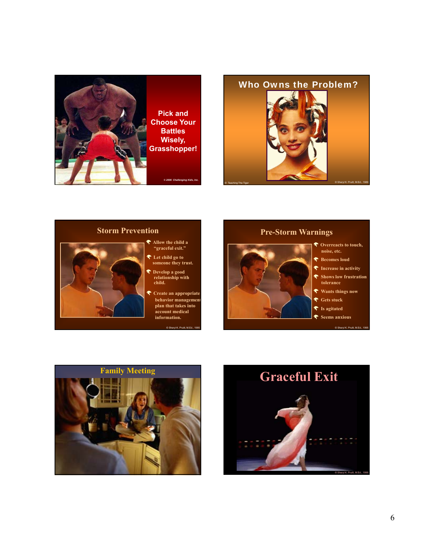





- 
- 
- 
- **Create an appropriate behavior management plan that takes into account medical**

© Sheryl K. Pruitt, M.Ed., 1995

#### **Pre-Storm Warnings**





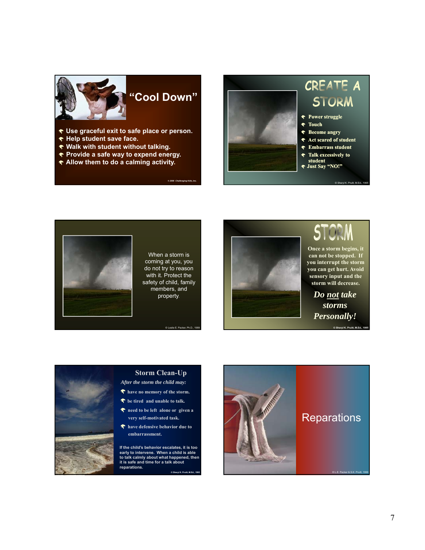

# **"Cool Down"**

- **Use graceful exit to safe place or person.**
- **← Help student save face.**
- **Walk with student without talking.**
- **Provide a safe way to expend energy.**
- **Allow them to do a calming activity.**

*© 2006 Challenging Kids, Inc.*





When a storm is coming at you, you do not try to reason with it. Protect the safety of child, family members, and property.



**Once a storm begins, it can not be stopped. If you interrupt the storm you can get hurt. Avoid sensory input and the storm will decrease.**

*Do not take storms Personally!*



#### **Storm Clean-Up**

- *After the storm the child may:*
- **have no memory of the storm.**
- **f** be tired and unable to talk.
- **need to be left alone or given a very self-motivated task.**
- **have defensive behavior due to embarrassment.**

**If the child's behavior escalates, it is too early to intervene. When a child is able to talk calmly about what happened, then it is safe and time for a talk about reparations.**

**© Sheryl K. Pruitt, M.Ed., 1995**

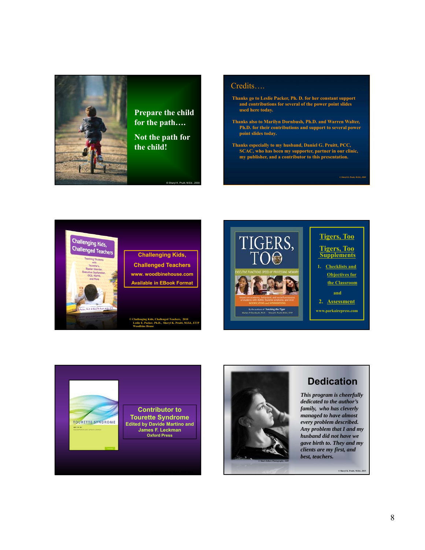

**Prepare the child for the path….**

**Not the path for the child!**

© Sheryl K. Pruitt, M.Ed., 2000

Credits….

- **Thanks go to Leslie Packer, Ph. D. for her constant support and contributions for several of the power point slides used here today.**
- **Thanks also to Marilyn Dornbush, Ph.D. and Warren Walter, Ph.D. for their contributions and support to several power point slides today.**
- **Thanks especially to my husband, Daniel G. Pruitt, PCC, SCAC, who has been my supporter, partner in our clinic, my publisher, and a contributor to this presentation.**



**Challenging Kids, Challenged Teachers www. woodbinehouse.com Available in EBook Format**







# **Dedication**

*This program is cheerfully dedicated to the author's family, who has cleverly managed to have almost every problem described. Any problem that I and my husband did not have we gave birth to. They and my clients are my first, and best, teachers.* 

**© Sheryl K. Pruitt, M.Ed., 2015**

*© Sheryl K. Pruitt, M.Ed., 2000*